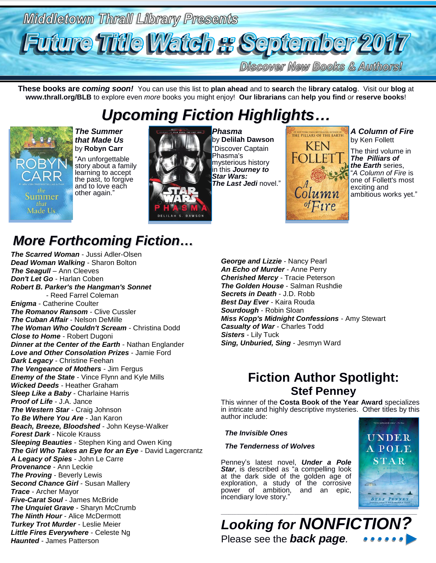

**Discover New Books & Authors!** 

**These books are** *coming soon!* You can use this list to **plan ahead** and to **search** the **library catalog**. Visit our **blog** at **www.thrall.org/BLB** to explore even *more* books you might enjoy! **Our librarians** can **help you find** *or* **reserve books**!

*Upcoming Fiction Highlights…*

# Summer Made Us.

*The Summer that Made Us* by **Robyn Carr** "An unforgettable story about a family

learning to accept the past, to forgive and to love each other again.'



*Phasma* by **Delilah Dawson** "Discover Captain Phasma's mysterious history in this *Journey to Star Wars: The Last Jedi* novel."



*A Column of Fire* by Ken Follett

The third volume in *The Pilliars of the Earth* series, "*A Column of Fire* is one of Follett's most exciting and ambitious works yet."

# *More Forthcoming Fiction…*

*The Scarred Woman* - Jussi Adler-Olsen *Dead Woman Walking* - Sharon Bolton *The Seagull* – Ann Cleeves *Don't Let Go* - Harlan Coben *Robert B. Parker's the Hangman's Sonnet* - Reed Farrel Coleman *Enigma* - Catherine Coulter *The Romanov Ransom* - Clive Cussler *The Cuban Affair* - Nelson DeMille *The Woman Who Couldn't Scream* - Christina Dodd *Close to Home* - Robert Dugoni *Dinner at the Center of the Earth* - Nathan Englander *Love and Other Consolation Prizes* - Jamie Ford *Dark Legacy* - Christine Feehan *The Vengeance of Mothers* - Jim Fergus *Enemy of the State* - Vince Flynn and Kyle Mills *Wicked Deeds* - Heather Graham *Sleep Like a Baby* - Charlaine Harris *Proof of Life* - J.A. Jance *The Western Star* - Craig Johnson *To Be Where You Are* - Jan Karon *Beach, Breeze, Bloodshed* - John Keyse-Walker *Forest Dark* - Nicole Krauss *Sleeping Beauties* - Stephen King and Owen King *The Girl Who Takes an Eye for an Eye* - David Lagercrantz *A Legacy of Spies* - John Le Carre *Provenance* - Ann Leckie *The Proving* - Beverly Lewis *Second Chance Girl* - Susan Mallery *Trace* - Archer Mayor *Five-Carat Soul* - James McBride *The Unquiet Grave* - Sharyn McCrumb *The Ninth Hour* - Alice McDermott *Turkey Trot Murder* - Leslie Meier *Little Fires Everywhere* - Celeste Ng *Haunted* - James Patterson

*George and Lizzie* - Nancy Pearl *An Echo of Murder* - Anne Perry *Cherished Mercy* - Tracie Peterson *The Golden House* - Salman Rushdie *Secrets in Death* - J.D. Robb *Best Day Ever* - Kaira Rouda *Sourdough* - Robin Sloan *Miss Kopp's Midnight Confessions* - Amy Stewart *Casualty of War* - Charles Todd *Sisters* - Lily Tuck *Sing, Unburied, Sing* - Jesmyn Ward

## **Fiction Author Spotlight: Stef Penney**

This winner of the **Costa Book of the Year Award** specializes in intricate and highly descriptive mysteries. Other titles by this author include:

#### *The Invisible Ones*

#### *The Tenderness of Wolves*

Penney's latest novel, *Under a Pole*  **Star**, is described as "a compelling look at the dark side of the golden age of exploration, a study of the corrosive power of ambition, and an epic, incendiary love story."



*Looking for NONFICTION?* Please see the *back page.*

\_\_\_\_\_\_\_\_\_\_\_\_\_\_\_\_\_\_\_\_\_\_\_\_\_\_\_\_\_\_\_\_\_\_\_\_\_\_\_\_\_\_\_\_\_\_\_\_\_\_\_\_\_\_\_\_\_\_\_\_\_\_\_\_\_\_\_\_\_\_\_\_\_\_\_\_\_\_\_\_\_\_\_\_\_\_\_\_\_\_\_\_\_\_\_\_\_\_\_